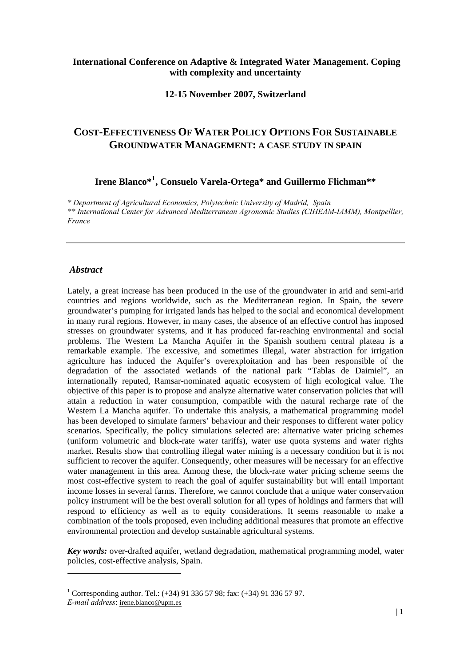## **International Conference on Adaptive & Integrated Water Management. Coping with complexity and uncertainty**

#### **12-15 November 2007, Switzerland**

# **COST-EFFECTIVENESS OF WATER POLICY OPTIONS FOR SUSTAINABLE GROUNDWATER MANAGEMENT: A CASE STUDY IN SPAIN**

# **Irene Blanco\*[1](#page-0-0) , Consuelo Varela-Ortega\* and Guillermo Flichman\*\***

*\* Department of Agricultural Economics, Polytechnic University of Madrid, Spain \*\* International Center for Advanced Mediterranean Agronomic Studies (CIHEAM-IAMM), Montpellier, France* 

#### *Abstract*

Lately, a great increase has been produced in the use of the groundwater in arid and semi-arid countries and regions worldwide, such as the Mediterranean region. In Spain, the severe groundwater's pumping for irrigated lands has helped to the social and economical development in many rural regions. However, in many cases, the absence of an effective control has imposed stresses on groundwater systems, and it has produced far-reaching environmental and social problems. The Western La Mancha Aquifer in the Spanish southern central plateau is a remarkable example. The excessive, and sometimes illegal, water abstraction for irrigation agriculture has induced the Aquifer's overexploitation and has been responsible of the degradation of the associated wetlands of the national park "Tablas de Daimiel", an internationally reputed, Ramsar-nominated aquatic ecosystem of high ecological value. The objective of this paper is to propose and analyze alternative water conservation policies that will attain a reduction in water consumption, compatible with the natural recharge rate of the Western La Mancha aquifer. To undertake this analysis, a mathematical programming model has been developed to simulate farmers' behaviour and their responses to different water policy scenarios. Specifically, the policy simulations selected are: alternative water pricing schemes (uniform volumetric and block-rate water tariffs), water use quota systems and water rights market. Results show that controlling illegal water mining is a necessary condition but it is not sufficient to recover the aquifer. Consequently, other measures will be necessary for an effective water management in this area. Among these, the block-rate water pricing scheme seems the most cost-effective system to reach the goal of aquifer sustainability but will entail important income losses in several farms. Therefore, we cannot conclude that a unique water conservation policy instrument will be the best overall solution for all types of holdings and farmers that will respond to efficiency as well as to equity considerations. It seems reasonable to make a combination of the tools proposed, even including additional measures that promote an effective environmental protection and develop sustainable agricultural systems.

*Key words:* over-drafted aquifer, wetland degradation, mathematical programming model, water policies, cost-effective analysis, Spain.

1

<sup>&</sup>lt;sup>1</sup> Corresponding author. Tel.:  $(+34)$  91 336 57 98; fax:  $(+34)$  91 336 57 97.

<span id="page-0-0"></span>*E-mail address*: [irene.blanco@upm.es](mailto:irene.blanco@upm.es)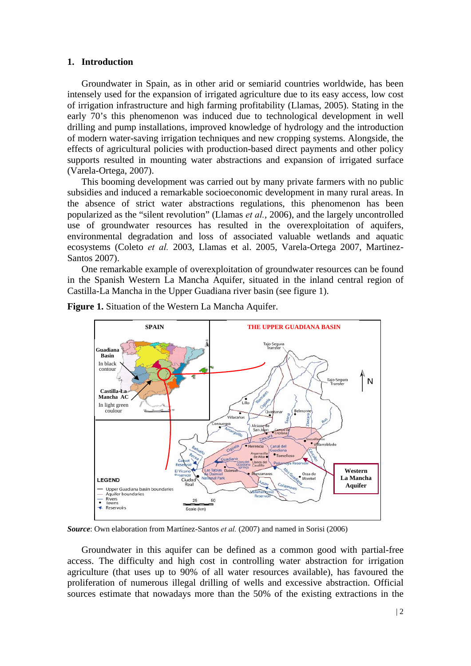#### **1. Introduction**

Groundwater in Spain, as in other arid or semiarid countries worldwide, has been intensely used for the expansion of irrigated agriculture due to its easy access, low cost of irrigation infrastructure and high farming profitability (Llamas, 2005). Stating in the early 70's this phenomenon was induced due to technological development in well drilling and pump installations, improved knowledge of hydrology and the introduction of modern water-saving irrigation techniques and new cropping systems. Alongside, the effects of agricultural policies with production-based direct payments and other policy supports resulted in mounting water abstractions and expansion of irrigated surface (Varela-Ortega, 2007).

 This booming development was carried out by many private farmers with no public subsidies and induced a remarkable socioeconomic development in many rural areas. In the absence of strict water abstractions regulations, this phenomenon has been popularized as the "silent revolution" (Llamas *et al.*, 2006), and the largely uncontrolled use of groundwater resources has resulted in the overexploitation of aquifers, environmental degradation and loss of associated valuable wetlands and aquatic ecosystems (Coleto *et al.* 2003, Llamas et al. 2005, Varela-Ortega 2007, Martinez-Santos 2007).

 One remarkable example of overexploitation of groundwater resources can be found in the Spanish Western La Mancha Aquifer, situated in the inland central region of Castilla-La Mancha in the Upper Guadiana river basin (see figure 1).



**Figure 1.** Situation of the Western La Mancha Aquifer.

*Source*: Own elaboration from Martínez-Santos *et al.* (2007) and named in Sorisi (2006)

 Groundwater in this aquifer can be defined as a common good with partial-free access. The difficulty and high cost in controlling water abstraction for irrigation agriculture (that uses up to 90% of all water resources available), has favoured the proliferation of numerous illegal drilling of wells and excessive abstraction. Official sources estimate that nowadays more than the 50% of the existing extractions in the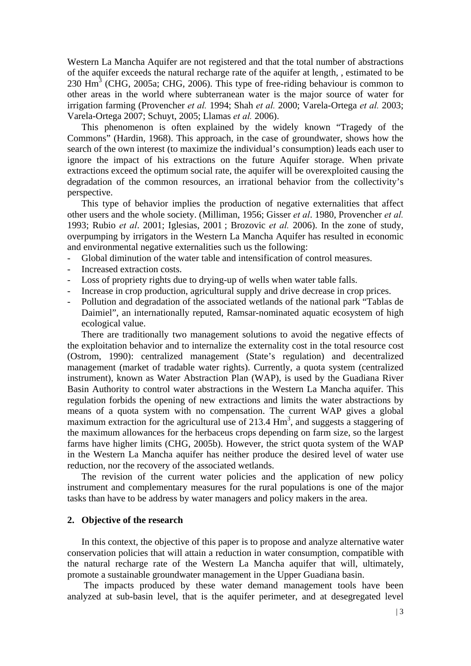Western La Mancha Aquifer are not registered and that the total number of abstractions of the aquifer exceeds the natural recharge rate of the aquifer at length, , estimated to be  $230$  Hm<sup>3</sup> (CHG, 2005a; CHG, 2006). This type of free-riding behaviour is common to other areas in the world where subterranean water is the major source of water for irrigation farming (Provencher *et al.* 1994; Shah *et al.* 2000; Varela-Ortega *et al.* 2003; Varela-Ortega 2007; Schuyt, 2005; Llamas *et al.* 2006).

This phenomenon is often explained by the widely known "Tragedy of the Commons" (Hardin, 1968). This approach, in the case of groundwater, shows how the search of the own interest (to maximize the individual's consumption) leads each user to ignore the impact of his extractions on the future Aquifer storage. When private extractions exceed the optimum social rate, the aquifer will be overexploited causing the degradation of the common resources, an irrational behavior from the collectivity's perspective.

This type of behavior implies the production of negative externalities that affect other users and the whole society. (Milliman, 1956; Gisser *et al*. 1980, Provencher *et al.* 1993; Rubio *et al*. 2001; Iglesias, 2001 ; Brozovic *et al.* 2006). In the zone of study, overpumping by irrigators in the Western La Mancha Aquifer has resulted in economic and environmental negative externalities such us the following:

- Global diminution of the water table and intensification of control measures.
- Increased extraction costs.
- Loss of propriety rights due to drying-up of wells when water table falls.
- Increase in crop production, agricultural supply and drive decrease in crop prices.
- Pollution and degradation of the associated wetlands of the national park "Tablas de Daimiel", an internationally reputed, Ramsar-nominated aquatic ecosystem of high ecological value.

 There are traditionally two management solutions to avoid the negative effects of the exploitation behavior and to internalize the externality cost in the total resource cost (Ostrom, 1990): centralized management (State's regulation) and decentralized management (market of tradable water rights). Currently, a quota system (centralized instrument), known as Water Abstraction Plan (WAP), is used by the Guadiana River Basin Authority to control water abstractions in the Western La Mancha aquifer. This regulation forbids the opening of new extractions and limits the water abstractions by means of a quota system with no compensation. The current WAP gives a global maximum extraction for the agricultural use of  $213.4 \text{ Hm}^3$ , and suggests a staggering of the maximum allowances for the herbaceus crops depending on farm size, so the largest farms have higher limits (CHG, 2005b). However, the strict quota system of the WAP in the Western La Mancha aquifer has neither produce the desired level of water use reduction, nor the recovery of the associated wetlands.

 The revision of the current water policies and the application of new policy instrument and complementary measures for the rural populations is one of the major tasks than have to be address by water managers and policy makers in the area.

#### **2. Objective of the research**

In this context, the objective of this paper is to propose and analyze alternative water conservation policies that will attain a reduction in water consumption, compatible with the natural recharge rate of the Western La Mancha aquifer that will, ultimately, promote a sustainable groundwater management in the Upper Guadiana basin.

 The impacts produced by these water demand management tools have been analyzed at sub-basin level, that is the aquifer perimeter, and at desegregated level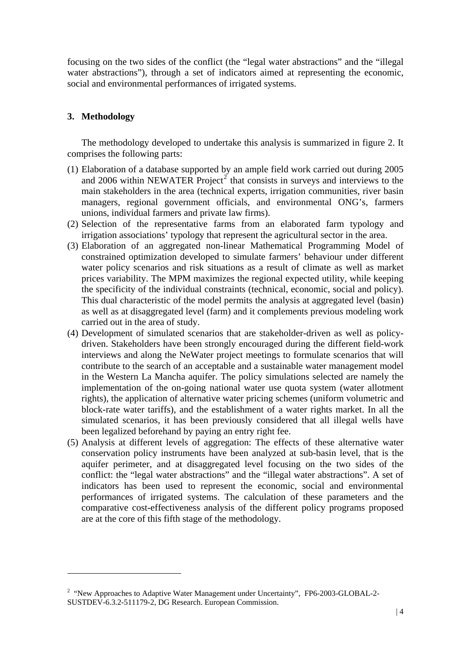focusing on the two sides of the conflict (the "legal water abstractions" and the "illegal water abstractions"), through a set of indicators aimed at representing the economic, social and environmental performances of irrigated systems.

## **3. Methodology**

1

The methodology developed to undertake this analysis is summarized in figure 2. It comprises the following parts:

- (1) Elaboration of a database supported by an ample field work carried out during 2005 and [2](#page-3-0)006 within NEWATER  $Project^2$  that consists in surveys and interviews to the main stakeholders in the area (technical experts, irrigation communities, river basin managers, regional government officials, and environmental ONG's, farmers unions, individual farmers and private law firms).
- (2) Selection of the representative farms from an elaborated farm typology and irrigation associations' typology that represent the agricultural sector in the area.
- (3) Elaboration of an aggregated non-linear Mathematical Programming Model of constrained optimization developed to simulate farmers' behaviour under different water policy scenarios and risk situations as a result of climate as well as market prices variability. The MPM maximizes the regional expected utility, while keeping the specificity of the individual constraints (technical, economic, social and policy). This dual characteristic of the model permits the analysis at aggregated level (basin) as well as at disaggregated level (farm) and it complements previous modeling work carried out in the area of study.
- (4) Development of simulated scenarios that are stakeholder-driven as well as policydriven. Stakeholders have been strongly encouraged during the different field-work interviews and along the NeWater project meetings to formulate scenarios that will contribute to the search of an acceptable and a sustainable water management model in the Western La Mancha aquifer. The policy simulations selected are namely the implementation of the on-going national water use quota system (water allotment rights), the application of alternative water pricing schemes (uniform volumetric and block-rate water tariffs), and the establishment of a water rights market. In all the simulated scenarios, it has been previously considered that all illegal wells have been legalized beforehand by paying an entry right fee.
- (5) Analysis at different levels of aggregation: The effects of these alternative water conservation policy instruments have been analyzed at sub-basin level, that is the aquifer perimeter, and at disaggregated level focusing on the two sides of the conflict: the "legal water abstractions" and the "illegal water abstractions". A set of indicators has been used to represent the economic, social and environmental performances of irrigated systems. The calculation of these parameters and the comparative cost-effectiveness analysis of the different policy programs proposed are at the core of this fifth stage of the methodology.

<span id="page-3-0"></span><sup>&</sup>lt;sup>2</sup> "New Approaches to Adaptive Water Management under Uncertainty", FP6-2003-GLOBAL-2-SUSTDEV-6.3.2-511179-2, DG Research. European Commission.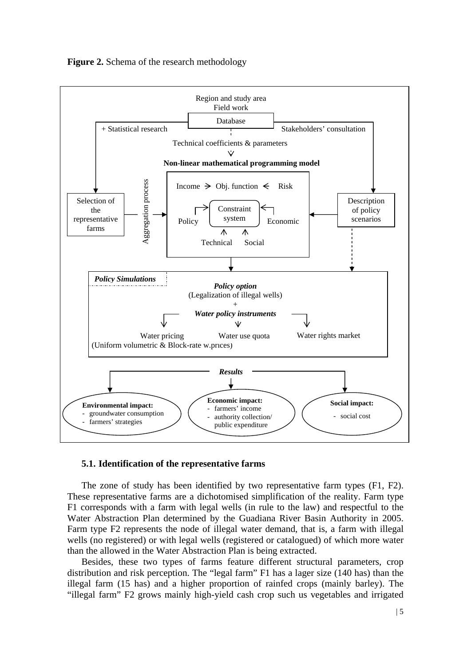

### **Figure 2.** Schema of the research methodology

# **5.1. Identification of the representative farms**

 The zone of study has been identified by two representative farm types (F1, F2). These representative farms are a dichotomised simplification of the reality. Farm type F1 corresponds with a farm with legal wells (in rule to the law) and respectful to the Water Abstraction Plan determined by the Guadiana River Basin Authority in 2005. Farm type F2 represents the node of illegal water demand, that is, a farm with illegal wells (no registered) or with legal wells (registered or catalogued) of which more water than the allowed in the Water Abstraction Plan is being extracted.

 Besides, these two types of farms feature different structural parameters, crop distribution and risk perception. The "legal farm" F1 has a lager size (140 has) than the illegal farm (15 has) and a higher proportion of rainfed crops (mainly barley). The "illegal farm" F2 grows mainly high-yield cash crop such us vegetables and irrigated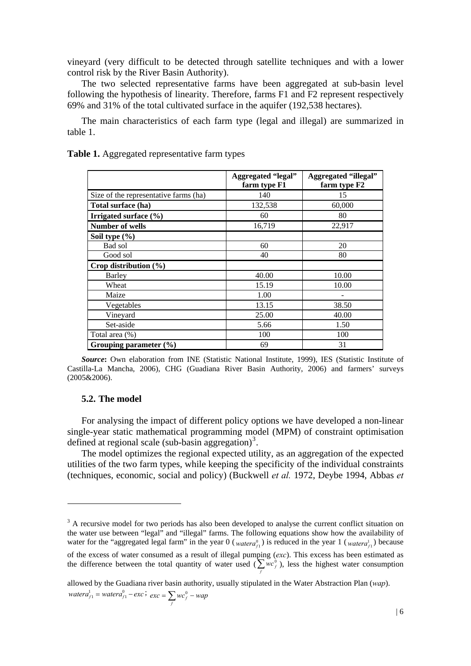vineyard (very difficult to be detected through satellite techniques and with a lower control risk by the River Basin Authority).

 The two selected representative farms have been aggregated at sub-basin level following the hypothesis of linearity. Therefore, farms F1 and F2 represent respectively 69% and 31% of the total cultivated surface in the aquifer (192,538 hectares).

 The main characteristics of each farm type (legal and illegal) are summarized in table 1.

|                                       | <b>Aggregated "legal"</b><br>farm type F1 | <b>Aggregated "illegal"</b><br>farm type F2 |
|---------------------------------------|-------------------------------------------|---------------------------------------------|
| Size of the representative farms (ha) | 140                                       | 15                                          |
| Total surface (ha)                    | 132,538                                   | 60,000                                      |
| Irrigated surface (%)                 | 60                                        | 80                                          |
| <b>Number of wells</b>                | 16,719                                    | 22,917                                      |
| Soil type $(\% )$                     |                                           |                                             |
| Bad sol                               | 60                                        | 20                                          |
| Good sol                              | 40                                        | 80                                          |
| Crop distribution $(\% )$             |                                           |                                             |
| Barley                                | 40.00                                     | 10.00                                       |
| Wheat                                 | 15.19                                     | 10.00                                       |
| Maize                                 | 1.00                                      |                                             |
| Vegetables                            | 13.15                                     | 38.50                                       |
| Vineyard                              | 25.00                                     | 40.00                                       |
| Set-aside                             | 5.66                                      | 1.50                                        |
| Total area (%)                        | 100                                       | 100                                         |
| Grouping parameter (%)                | 69                                        | 31                                          |

**Table 1.** Aggregated representative farm types

*Source***:** Own elaboration from INE (Statistic National Institute, 1999), IES (Statistic Institute of Castilla-La Mancha, 2006), CHG (Guadiana River Basin Authority, 2006) and farmers' surveys (2005&2006).

#### **5.2. The model**

1

 For analysing the impact of different policy options we have developed a non-linear single-year static mathematical programming model (MPM) of constraint optimisation defined at regional scale (sub-basin aggregation)<sup>[3](#page-5-0)</sup>.

The model optimizes the regional expected utility, as an aggregation of the expected utilities of the two farm types, while keeping the specificity of the individual constraints (techniques, economic, social and policy) (Buckwell *et al.* 1972, Deybe 1994, Abbas *et* 

allowed by the Guadiana river basin authority, usually stipulated in the Water Abstraction Plan (*wap*).  $watera_{f1}^1 = watera_{f1}^0 - exc$ ;  $exc = \sum_f wc_f^0 - wap$ 

<span id="page-5-0"></span><sup>&</sup>lt;sup>3</sup> A recursive model for two periods has also been developed to analyse the current conflict situation on the water use between "legal" and "illegal" farms. The following equations show how the availability of water for the "aggregated legal farm" in the year  $0 \, (watera_{f1}^0)$  is reduced in the year  $1 \, (watera_{f1}^1)$  because

of the excess of water consumed as a result of illegal pumping (*exc*). This excess has been estimated as the difference between the total quantity of water used  $(\sum_f w c_f^0)$ , less the highest water consumption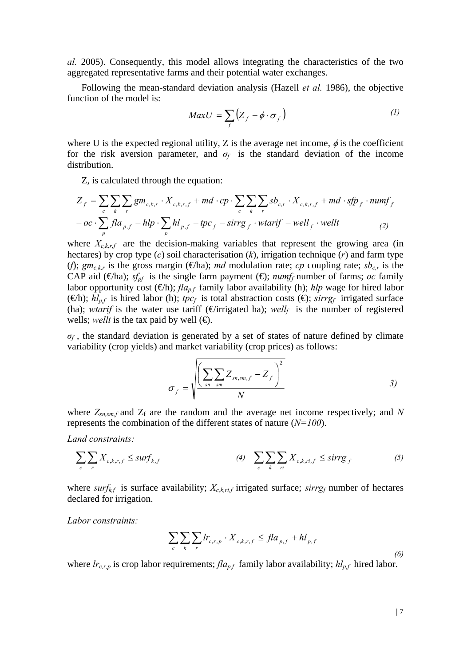*al.* 2005). Consequently, this model allows integrating the characteristics of the two aggregated representative farms and their potential water exchanges.

Following the mean-standard deviation analysis (Hazell *et al.* 1986), the objective function of the model is:

$$
MaxU = \sum_{f} (Z_f - \phi \cdot \sigma_f)
$$
 (1)

where U is the expected regional utility, Z is the average net income,  $\phi$  is the coefficient for the risk aversion parameter, and  $\sigma_f$  is the standard deviation of the income distribution.

Z, is calculated through the equation:

$$
Z_f = \sum_c \sum_k \sum_r gm_{c,k,r} \cdot X_{c,k,r,f} + md \cdot cp \cdot \sum_c \sum_k \sum_r sb_{c,r} \cdot X_{c,k,r,f} + md \cdot sfp_f \cdot numf_f
$$
  
- oc \cdot 
$$
\sum_p fla_{p,f} - hlp \cdot \sum_p hl_{p,f} - tpc_f - sirrg_f \cdot wtarif - well_f \cdot wellt
$$
 (2)

where  $X_{c,k,r,f}$  are the decision-making variables that represent the growing area (in hectares) by crop type (*c*) soil characterisation (*k*), irrigation technique (*r*) and farm type (*f*);  $gm_{c,k,r}$  is the gross margin ( $\bigoplus$ ha); *md* modulation rate; *cp* coupling rate; *sb<sub>c,r</sub>* is the CAP aid ( $\bigoplus$ ha); *sf<sub>pf</sub>* is the single farm payment ( $\bigoplus$ ; *numf<sub>f</sub>* number of farms; *oc* family labor opportunity cost  $(\oplus h)$ ; *fla<sub>p,f</sub>* family labor availability (h); *hlp* wage for hired labor  $(\oplus h)$ ;  $h l_{nf}$  is hired labor (h); *tpc<sub>f</sub>* is total abstraction costs ( $\oplus$ ; *sirrg<sub>f</sub>* irrigated surface (ha); *wtarif* is the water use tariff ( $\epsilon$ irrigated ha); *well<sub>f</sub>* is the number of registered wells; *wellt* is the tax paid by well  $(\bigoplus)$ .

 $\sigma_f$ , the standard deviation is generated by a set of states of nature defined by climate variability (crop yields) and market variability (crop prices) as follows:

$$
\sigma_f = \sqrt{\left(\sum_{sn} \sum_{sm} Z_{sn,sm,f} - Z_f\right)^2}
$$
 3)

where  $Z_{sn,sm,f}$  and  $Z_f$  are the random and the average net income respectively; and N represents the combination of the different states of nature (*N=100*).

*Land constraints:*

$$
\sum_{c} \sum_{r} X_{c,k,r,f} \le \text{surf}_{k,f} \tag{3}
$$
\n
$$
\sum_{c} \sum_{k} \sum_{ri} X_{c,k,ri,f} \le \text{sirrg}_{f} \tag{5}
$$

where *surf<sub>kf</sub>* is surface availability;  $X_{c,k,ri,f}$  irrigated surface; *sirrg<sub>f</sub>* number of hectares declared for irrigation.

*Labor constraints:*

$$
\sum_{c} \sum_{k} \sum_{r} lr_{c,r,p} \cdot X_{c,k,r,f} \leq fl a_{p,f} + h l_{p,f}
$$
\n(6)

where  $lr_{c,r,p}$  is crop labor requirements;  $fla_{p,f}$  family labor availability;  $hl_{p,f}$  hired labor.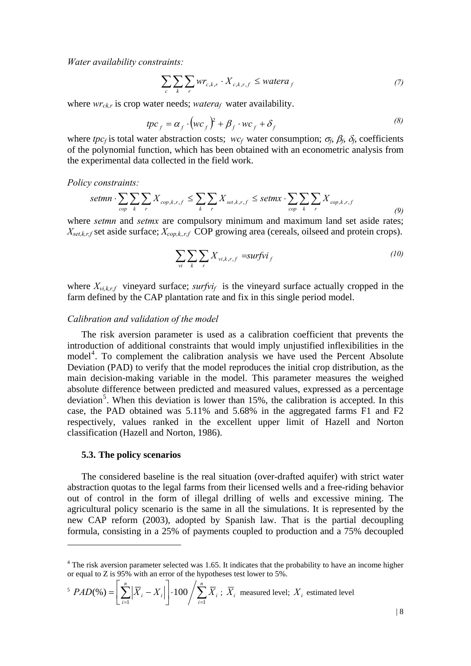*Water availability constraints:*

$$
\sum_{c} \sum_{k} \sum_{r} wr_{c,k,r} \cdot X_{c,k,r,f} \leq watera_{f}
$$
\n(7)

where  $wr_{ckr}$  is crop water needs; *watera<sub>f</sub>* water availability.

$$
tpc_f = \alpha_f \cdot (wc_f)^2 + \beta_f \cdot wc_f + \delta_f
$$
 (8)

where *tpc<sub>f</sub>* is total water abstraction costs; *wc<sub>f</sub>* water consumption;  $\sigma_f$ ,  $\beta_f$ ,  $\delta_f$ , coefficients of the polynomial function, which has been obtained with an econometric analysis from the experimental data collected in the field work.

*Policy constraints:*

$$
setmn \cdot \sum_{cop} \sum_{k} \sum_{r} X_{cop,k,r,f} \le \sum_{k} \sum_{r} X_{set,k,r,f} \le setmx \cdot \sum_{cop} \sum_{k} \sum_{r} X_{cop,k,r,f} \tag{9}
$$

where *setmn* and *setmx* are compulsory minimum and maximum land set aside rates;  $X_{set,k,r,f}$  set aside surface;  $X_{cop,k,r,f}$  COP growing area (cereals, oilseed and protein crops).

$$
\sum_{vi} \sum_{k} \sum_{r} X_{vi,k,r,f} = \text{surfvi}_f \tag{10}
$$

where  $X_{v_i,k,r,f}$  vineyard surface; *surfvi<sub>f</sub>* is the vineyard surface actually cropped in the farm defined by the CAP plantation rate and fix in this single period model.

#### *Calibration and validation of the model*

The risk aversion parameter is used as a calibration coefficient that prevents the introduction of additional constraints that would imply unjustified inflexibilities in the model<sup>[4](#page-7-0)</sup>. To complement the calibration analysis we have used the Percent Absolute Deviation (PAD) to verify that the model reproduces the initial crop distribution, as the main decision-making variable in the model. This parameter measures the weighed absolute difference between predicted and measured values, expressed as a percentage deviation<sup>[5](#page-7-1)</sup>. When this deviation is lower than 15%, the calibration is accepted. In this case, the PAD obtained was 5.11% and 5.68% in the aggregated farms F1 and F2 respectively, values ranked in the excellent upper limit of Hazell and Norton classification (Hazell and Norton, 1986).

#### **5.3. The policy scenarios**

1

 The considered baseline is the real situation (over-drafted aquifer) with strict water abstraction quotas to the legal farms from their licensed wells and a free-riding behavior out of control in the form of illegal drilling of wells and excessive mining. The agricultural policy scenario is the same in all the simulations. It is represented by the new CAP reform (2003), adopted by Spanish law. That is the partial decoupling formula, consisting in a 25% of payments coupled to production and a 75% decoupled

<span id="page-7-1"></span>
$$
^{5} \; PAD(\%) = \left[ \sum_{i=1}^{n} \left| \overline{X}_{i} - X_{i} \right| \right] \cdot 100 / \sum_{i=1}^{n} \overline{X}_{i} \; ; \; \overline{X}_{i} \; \text{measured level}; \; X_{i} \; \text{estimated level}
$$

<span id="page-7-0"></span><sup>&</sup>lt;sup>4</sup> The risk aversion parameter selected was 1.65. It indicates that the probability to have an income higher or equal to Z is 95% with an error of the hypotheses test lower to 5%.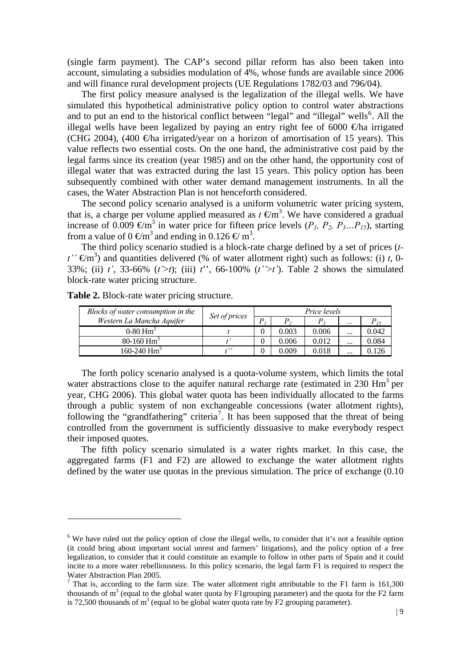(single farm payment). The CAP's second pillar reform has also been taken into account, simulating a subsidies modulation of 4%, whose funds are available since 2006 and will finance rural development projects (UE Regulations 1782/03 and 796/04).

 The first policy measure analysed is the legalization of the illegal wells. We have simulated this hypothetical administrative policy option to control water abstractions and to put an end to the historical conflict between "legal" and "illegal" wells $<sup>6</sup>$  $<sup>6</sup>$  $<sup>6</sup>$ . All the</sup> illegal wells have been legalized by paying an entry right fee of 6000  $\epsilon$ ha irrigated (CHG 2004), (400  $\oplus$ ha irrigated/year on a horizon of amortisation of 15 years). This value reflects two essential costs. On the one hand, the administrative cost paid by the legal farms since its creation (year 1985) and on the other hand, the opportunity cost of illegal water that was extracted during the last 15 years. This policy option has been subsequently combined with other water demand management instruments. In all the cases, the Water Abstraction Plan is not henceforth considered.

 The second policy scenario analysed is a uniform volumetric water pricing system, that is, a charge per volume applied measured as  $t \in \text{Im}^3$ . We have considered a gradual increase of 0.009  $\in \mathfrak{m}^3$  in water price for fifteen price levels ( $P_1$ ,  $P_2$ ,  $P_3...P_{15}$ ), starting from a value of  $0 \in \mathfrak{m}^3$  and ending in  $0.126 \in \mathfrak{m}^3$ .

 The third policy scenario studied is a block-rate charge defined by a set of prices (*t* $t' \in \mathbb{R}^3$ ) and quantities delivered (% of water allotment right) such as follows: (i) *t*, 0-33%; (ii) *t'*, 33-66% (*t'*>*t*); (iii) *t*'', 66-100% (*t''*>*t'*). Table 2 shows the simulated block-rate water pricing structure.

| Blocks of water consumption in the | Set of prices | Price levels |       |       |          |          |
|------------------------------------|---------------|--------------|-------|-------|----------|----------|
| Western La Mancha Aquifer          |               | D            |       |       | $\cdots$ | $P_{15}$ |
| $0-80$ Hm <sup>3</sup>             |               |              | 0.003 | 0.006 |          | 0.042    |
| 80-160 $\text{Hm}^3$               |               |              | 0.006 | 0.012 | $\cdots$ | 0.084    |
| 160-240 $\text{Hm}^3$              |               |              | 0.009 | 0.018 |          | 0.126    |

**Table 2.** Block-rate water pricing structure.

1

 The forth policy scenario analysed is a quota-volume system, which limits the total water abstractions close to the aquifer natural recharge rate (estimated in  $230 \text{ Hm}^3$  per year, CHG 2006). This global water quota has been individually allocated to the farms through a public system of non exchangeable concessions (water allotment rights), following the "grandfathering" criteria<sup>[7](#page-8-1)</sup>. It has been supposed that the threat of being controlled from the government is sufficiently dissuasive to make everybody respect their imposed quotes.

 The fifth policy scenario simulated is a water rights market. In this case, the aggregated farms (F1 and F2) are allowed to exchange the water allotment rights defined by the water use quotas in the previous simulation. The price of exchange (0.10

<span id="page-8-0"></span><sup>&</sup>lt;sup>6</sup> We have ruled out the policy option of close the illegal wells, to consider that it's not a feasible option (it could bring about important social unrest and farmers' litigations), and the policy option of a free legalization, to consider that it could constitute an example to follow in other parts of Spain and it could incite to a more water rebelliousness. In this policy scenario, the legal farm F1 is required to respect the Water Abstraction Plan 2005.

<span id="page-8-1"></span><sup>&</sup>lt;sup>7</sup> That is, according to the farm size. The water allotment right attributable to the F1 farm is  $161,300$ thousands of  $m<sup>3</sup>$  (equal to the global water quota by F1 grouping parameter) and the quota for the F2 farm is 72,500 thousands of  $m^3$  (equal to he global water quota rate by F2 grouping parameter).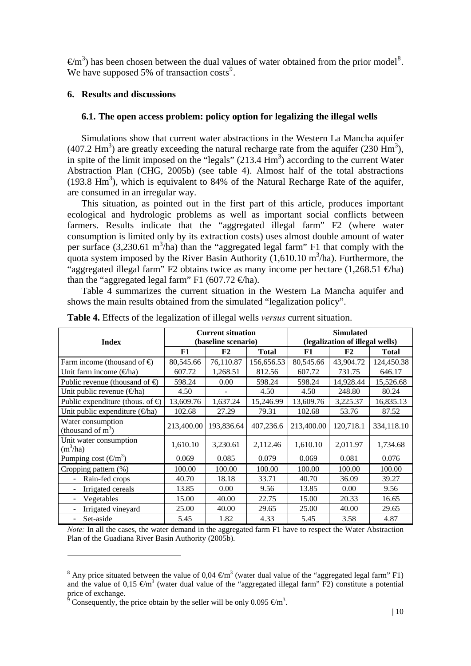$\epsilon/m^3$ ) has been chosen between the dual values of water obtained from the prior model<sup>[8](#page-9-0)</sup>. We have supposed 5% of transaction  $costs<sup>9</sup>$  $costs<sup>9</sup>$  $costs<sup>9</sup>$ .

### **6. Results and discussions**

### **6.1. The open access problem: policy option for legalizing the illegal wells**

 Simulations show that current water abstractions in the Western La Mancha aquifer (407.2 Hm<sup>3</sup>) are greatly exceeding the natural recharge rate from the aquifer (230 Hm<sup>3</sup>), in spite of the limit imposed on the "legals"  $(213.4 \text{ Hm}^3)$  according to the current Water Abstraction Plan (CHG, 2005b) (see table 4). Almost half of the total abstractions  $(193.8 \text{ Hm}^3)$ , which is equivalent to 84% of the Natural Recharge Rate of the aquifer, are consumed in an irregular way.

 This situation, as pointed out in the first part of this article, produces important ecological and hydrologic problems as well as important social conflicts between farmers. Results indicate that the "aggregated illegal farm" F2 (where water consumption is limited only by its extraction costs) uses almost double amount of water per surface  $(3,230.61 \text{ m}^3/\text{ha})$  than the "aggregated legal farm" F1 that comply with the quota system imposed by the River Basin Authority  $(1,610.10 \text{ m}^3/\text{ha})$ . Furthermore, the "aggregated illegal farm" F2 obtains twice as many income per hectare  $(1,268.51 \text{ fta})$ than the "aggregated legal farm" F1 (607.72  $\in$ ha).

 Table 4 summarizes the current situation in the Western La Mancha aquifer and shows the main results obtained from the simulated "legalization policy".

| Index                                             |            | <b>Current situation</b><br>(baseline scenario) |              | <b>Simulated</b><br>(legalization of illegal wells) |           |              |  |
|---------------------------------------------------|------------|-------------------------------------------------|--------------|-----------------------------------------------------|-----------|--------------|--|
|                                                   | F1         | F2                                              | <b>Total</b> | F1                                                  | F2        | <b>Total</b> |  |
| Farm income (thousand of $\Theta$                 | 80,545.66  | 76,110.87                                       | 156,656.53   | 80,545.66                                           | 43,904.72 | 124,450.38   |  |
| Unit farm income $(\Theta$ ha)                    | 607.72     | 1,268.51                                        | 812.56       | 607.72                                              | 731.75    | 646.17       |  |
| Public revenue (thousand of $\oplus$              | 598.24     | 0.00                                            | 598.24       | 598.24                                              | 14,928.44 | 15,526.68    |  |
| Unit public revenue $(\Theta$ ha)                 | 4.50       |                                                 | 4.50         | 4.50                                                | 248.80    | 80.24        |  |
| Public expenditure (thous. of $\Theta$ )          | 13,609.76  | 1,637.24                                        | 15,246.99    | 13,609.76                                           | 3,225.37  | 16,835.13    |  |
| Unit public expenditure $(\in$ ha)                | 102.68     | 27.29                                           | 79.31        | 102.68                                              | 53.76     | 87.52        |  |
| Water consumption<br>(thousand of $m3$ )          | 213,400.00 | 193,836.64                                      | 407,236.6    | 213,400.00                                          | 120,718.1 | 334,118.10   |  |
| Unit water consumption<br>$(m^3/ha)$              | 1,610.10   | 3,230.61                                        | 2,112.46     | 1,610.10                                            | 2,011.97  | 1,734.68     |  |
| Pumping cost $(\Theta m^3)$                       | 0.069      | 0.085                                           | 0.079        | 0.069                                               | 0.081     | 0.076        |  |
| Cropping pattern (%)                              | 100.00     | 100.00                                          | 100.00       | 100.00                                              | 100.00    | 100.00       |  |
| Rain-fed crops                                    | 40.70      | 18.18                                           | 33.71        | 40.70                                               | 36.09     | 39.27        |  |
| Irrigated cereals<br>$\qquad \qquad \blacksquare$ | 13.85      | 0.00                                            | 9.56         | 13.85                                               | 0.00      | 9.56         |  |
| Vegetables<br>$\overline{\phantom{0}}$            | 15.00      | 40.00                                           | 22.75        | 15.00                                               | 20.33     | 16.65        |  |
| Irrigated vineyard<br>÷,                          | 25.00      | 40.00                                           | 29.65        | 25.00                                               | 40.00     | 29.65        |  |
| Set-aside                                         | 5.45       | 1.82                                            | 4.33         | 5.45                                                | 3.58      | 4.87         |  |

**Table 4.** Effects of the legalization of illegal wells *versus* current situation.

*Note:* In all the cases, the water demand in the aggregated farm F1 have to respect the Water Abstraction Plan of the Guadiana River Basin Authority (2005b).

1

<span id="page-9-0"></span><sup>&</sup>lt;sup>8</sup> Any price situated between the value of 0,04  $\epsilon$ m<sup>3</sup> (water dual value of the "aggregated legal farm" F1) and the value of 0,15  $\epsilon$ m<sup>3</sup> (water dual value of the "aggregated illegal farm" F2) constitute a potential price of exchange.

<span id="page-9-1"></span><sup>9</sup> Consequently, the price obtain by the seller will be only 0.095  $\epsilon$ m<sup>3</sup>.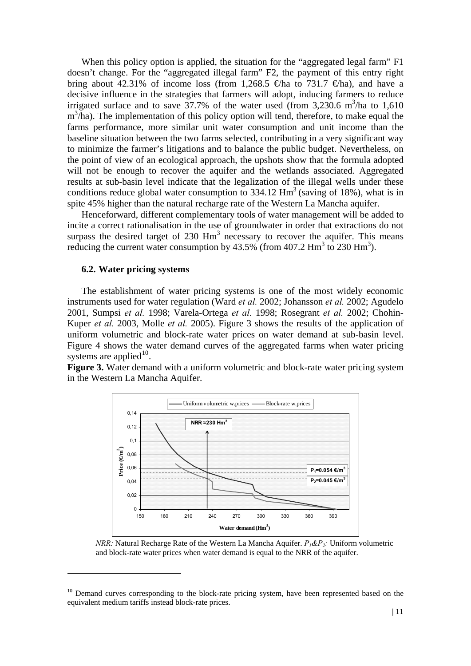When this policy option is applied, the situation for the "aggregated legal farm" F1 doesn't change. For the "aggregated illegal farm" F2, the payment of this entry right bring about 42.31% of income loss (from 1,268.5  $\oplus$  ha to 731.7  $\oplus$  ha), and have a decisive influence in the strategies that farmers will adopt, inducing farmers to reduce irrigated surface and to save  $37.7\%$  of the water used (from 3,230.6 m<sup>3</sup>/ha to 1,610  $m^3/ha$ ). The implementation of this policy option will tend, therefore, to make equal the farms performance, more similar unit water consumption and unit income than the baseline situation between the two farms selected, contributing in a very significant way to minimize the farmer's litigations and to balance the public budget. Nevertheless, on the point of view of an ecological approach, the upshots show that the formula adopted will not be enough to recover the aquifer and the wetlands associated. Aggregated results at sub-basin level indicate that the legalization of the illegal wells under these conditions reduce global water consumption to  $334.12$  Hm<sup>3</sup> (saving of 18%), what is in spite 45% higher than the natural recharge rate of the Western La Mancha aquifer.

 Henceforward, different complementary tools of water management will be added to incite a correct rationalisation in the use of groundwater in order that extractions do not surpass the desired target of  $230 \text{ Hm}^3$  necessary to recover the aquifer. This means reducing the current water consumption by  $43.5\%$  (from  $407.2$  Hm<sup>3</sup> to  $230$  Hm<sup>3</sup>).

#### **6.2. Water pricing systems**

1

 The establishment of water pricing systems is one of the most widely economic instruments used for water regulation (Ward *et al.* 2002; Johansson *et al.* 2002; Agudelo 2001, Sumpsi *et al.* 1998; Varela-Ortega *et al.* 1998; Rosegrant *et al.* 2002; Chohin-Kuper *et al.* 2003, Molle *et al.* 2005). Figure 3 shows the results of the application of uniform volumetric and block-rate water prices on water demand at sub-basin level. Figure 4 shows the water demand curves of the aggregated farms when water pricing systems are applied $10$ .

**Figure 3.** Water demand with a uniform volumetric and block-rate water pricing system in the Western La Mancha Aquifer.



*NRR:* Natural Recharge Rate of the Western La Mancha Aquifer. *P1&P2:* Uniform volumetric and block-rate water prices when water demand is equal to the NRR of the aquifer.

<span id="page-10-0"></span><sup>&</sup>lt;sup>10</sup> Demand curves corresponding to the block-rate pricing system, have been represented based on the equivalent medium tariffs instead block-rate prices.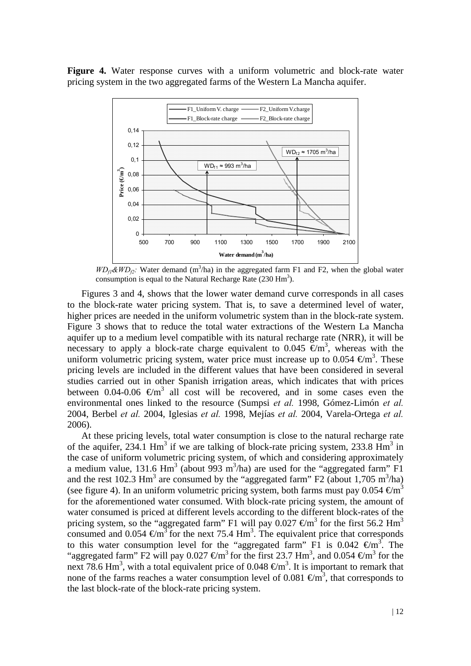**Figure 4.** Water response curves with a uniform volumetric and block-rate water pricing system in the two aggregated farms of the Western La Mancha aquifer.



 $WD_{f1}$ & $WD_{f2}$ : Water demand (m<sup>3</sup>/ha) in the aggregated farm F1 and F2, when the global water consumption is equal to the Natural Recharge Rate  $(230 \text{ Hm}^3)$ .

Figures 3 and 4, shows that the lower water demand curve corresponds in all cases to the block-rate water pricing system. That is, to save a determined level of water, higher prices are needed in the uniform volumetric system than in the block-rate system. Figure 3 shows that to reduce the total water extractions of the Western La Mancha aquifer up to a medium level compatible with its natural recharge rate (NRR), it will be necessary to apply a block-rate charge equivalent to 0.045  $\epsilon$ m<sup>3</sup>, whereas with the uniform volumetric pricing system, water price must increase up to 0.054  $\epsilon$ m<sup>3</sup>. These pricing levels are included in the different values that have been considered in several studies carried out in other Spanish irrigation areas, which indicates that with prices between 0.04-0.06  $\epsilon \text{m}^3$  all cost will be recovered, and in some cases even the environmental ones linked to the resource (Sumpsi *et al.* 1998, Gómez-Limón *et al.* 2004, Berbel *et al.* 2004, Iglesias *et al.* 1998, Mejías *et al.* 2004, Varela-Ortega *et al.* 2006).

At these pricing levels, total water consumption is close to the natural recharge rate of the aquifer, 234.1  $\text{Hm}^3$  if we are talking of block-rate pricing system, 233.8  $\text{Hm}^3$  in the case of uniform volumetric pricing system, of which and considering approximately a medium value, 131.6  $\text{Hm}^3$  (about 993 m<sup>3</sup>/ha) are used for the "aggregated farm" F1 and the rest 102.3 Hm<sup>3</sup> are consumed by the "aggregated farm" F2 (about 1,705 m<sup>3</sup>/ha) (see figure 4). In an uniform volumetric pricing system, both farms must pay 0.054  $\epsilon$ m<sup>3</sup> for the aforementioned water consumed. With block-rate pricing system, the amount of water consumed is priced at different levels according to the different block-rates of the pricing system, so the "aggregated farm" F1 will pay 0.027 €/m3 for the first 56.2 Hm3 consumed and  $0.054 \text{ } \text{Im}^3$  for the next 75.4 Hm<sup>3</sup>. The equivalent price that corresponds to this water consumption level for the "aggregated farm" F1 is 0.042  $\epsilon/m^3$ . The "aggregated farm" F2 will pay 0.027  $\text{€m}^3$  for the first 23.7 Hm<sup>3</sup>, and 0.054  $\text{€m}^3$  for the next 78.6 Hm<sup>3</sup>, with a total equivalent price of 0.048  $\epsilon$ m<sup>3</sup>. It is important to remark that none of the farms reaches a water consumption level of 0.081  $\epsilon \text{m}^3$ , that corresponds to the last block-rate of the block-rate pricing system.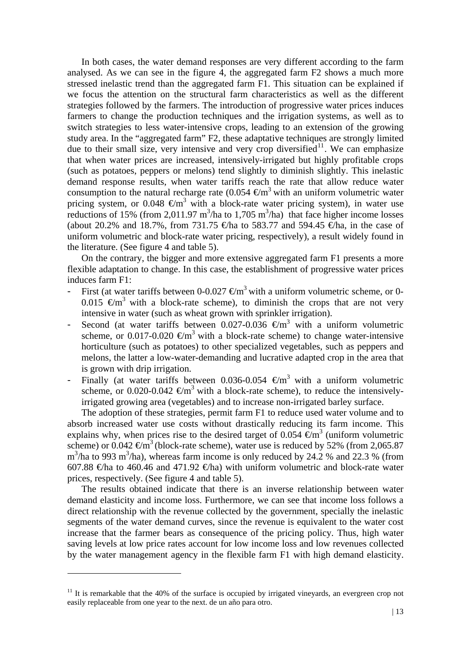In both cases, the water demand responses are very different according to the farm analysed. As we can see in the figure 4, the aggregated farm F2 shows a much more stressed inelastic trend than the aggregated farm F1. This situation can be explained if we focus the attention on the structural farm characteristics as well as the different strategies followed by the farmers. The introduction of progressive water prices induces farmers to change the production techniques and the irrigation systems, as well as to switch strategies to less water-intensive crops, leading to an extension of the growing study area. In the "aggregated farm" F2, these adaptative techniques are strongly limited due to their small size, very intensive and very crop diversified<sup>[11](#page-12-0)</sup>. We can emphasize that when water prices are increased, intensively-irrigated but highly profitable crops (such as potatoes, peppers or melons) tend slightly to diminish slightly. This inelastic demand response results, when water tariffs reach the rate that allow reduce water consumption to the natural recharge rate  $(0.054 \text{ } \text{€m}^3 \text{ with an uniform volumetric water})$ pricing system, or 0.048  $\epsilon$ m<sup>3</sup> with a block-rate water pricing system), in water use reductions of 15% (from 2,011.97 m<sup>3</sup>/ha to 1,705 m<sup>3</sup>/ha) that face higher income losses (about 20.2% and 18.7%, from 731.75  $\oplus$  ha to 583.77 and 594.45  $\oplus$  ha, in the case of uniform volumetric and block-rate water pricing, respectively), a result widely found in the literature. (See figure 4 and table 5).

On the contrary, the bigger and more extensive aggregated farm F1 presents a more flexible adaptation to change. In this case, the establishment of progressive water prices induces farm F1:

- First (at water tariffs between 0-0.027  $\epsilon$ m<sup>3</sup> with a uniform volumetric scheme, or 0-0.015  $\text{Em}^3$  with a block-rate scheme), to diminish the crops that are not very intensive in water (such as wheat grown with sprinkler irrigation).
- Second (at water tariffs between 0.027-0.036  $\epsilon$ m<sup>3</sup> with a uniform volumetric scheme, or 0.017-0.020  $\epsilon \text{m}^3$  with a block-rate scheme) to change water-intensive horticulture (such as potatoes) to other specialized vegetables, such as peppers and melons, the latter a low-water-demanding and lucrative adapted crop in the area that is grown with drip irrigation.
- Finally (at water tariffs between 0.036-0.054  $\text{\textsterling}m^3$  with a uniform volumetric scheme, or 0.020-0.042  $\epsilon \text{m}^3$  with a block-rate scheme), to reduce the intensivelyirrigated growing area (vegetables) and to increase non-irrigated barley surface.

The adoption of these strategies, permit farm F1 to reduce used water volume and to absorb increased water use costs without drastically reducing its farm income. This explains why, when prices rise to the desired target of 0.054  $\vec{\epsilon}$ m<sup>3</sup> (uniform volumetric scheme) or 0.042  $\text{€m}^3$  (block-rate scheme), water use is reduced by 52% (from 2,065.87  $m<sup>3</sup>/ha$  to 993 m<sup>3</sup>/ha), whereas farm income is only reduced by 24.2 % and 22.3 % (from 607.88  $\oplus$ ha to 460.46 and 471.92  $\oplus$ ha) with uniform volumetric and block-rate water prices, respectively. (See figure 4 and table 5).

The results obtained indicate that there is an inverse relationship between water demand elasticity and income loss. Furthermore, we can see that income loss follows a direct relationship with the revenue collected by the government, specially the inelastic segments of the water demand curves, since the revenue is equivalent to the water cost increase that the farmer bears as consequence of the pricing policy. Thus, high water saving levels at low price rates account for low income loss and low revenues collected by the water management agency in the flexible farm F1 with high demand elasticity.

1

<span id="page-12-0"></span> $11$  It is remarkable that the 40% of the surface is occupied by irrigated vineyards, an evergreen crop not easily replaceable from one year to the next. de un año para otro.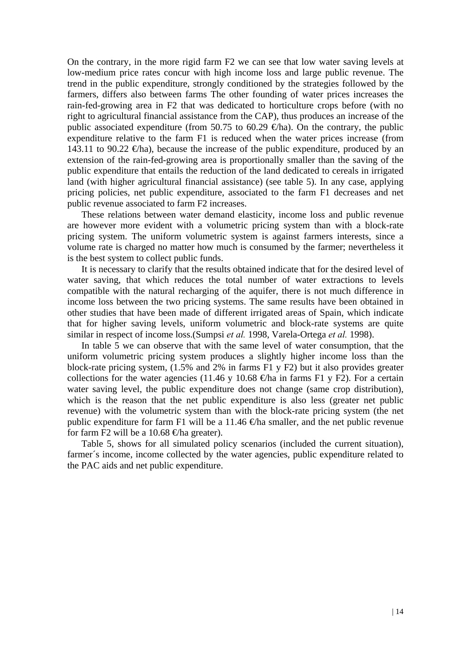On the contrary, in the more rigid farm F2 we can see that low water saving levels at low-medium price rates concur with high income loss and large public revenue. The trend in the public expenditure, strongly conditioned by the strategies followed by the farmers, differs also between farms The other founding of water prices increases the rain-fed-growing area in F2 that was dedicated to horticulture crops before (with no right to agricultural financial assistance from the CAP), thus produces an increase of the public associated expenditure (from 50.75 to 60.29  $\oplus$ ha). On the contrary, the public expenditure relative to the farm F1 is reduced when the water prices increase (from 143.11 to 90.22  $\epsilon$ ha), because the increase of the public expenditure, produced by an extension of the rain-fed-growing area is proportionally smaller than the saving of the public expenditure that entails the reduction of the land dedicated to cereals in irrigated land (with higher agricultural financial assistance) (see table 5). In any case, applying pricing policies, net public expenditure, associated to the farm F1 decreases and net public revenue associated to farm F2 increases.

 These relations between water demand elasticity, income loss and public revenue are however more evident with a volumetric pricing system than with a block-rate pricing system. The uniform volumetric system is against farmers interests, since a volume rate is charged no matter how much is consumed by the farmer; nevertheless it is the best system to collect public funds.

 It is necessary to clarify that the results obtained indicate that for the desired level of water saving, that which reduces the total number of water extractions to levels compatible with the natural recharging of the aquifer, there is not much difference in income loss between the two pricing systems. The same results have been obtained in other studies that have been made of different irrigated areas of Spain, which indicate that for higher saving levels, uniform volumetric and block-rate systems are quite similar in respect of income loss.(Sumpsi *et al.* 1998, Varela-Ortega *et al.* 1998).

In table  $\overline{5}$  we can observe that with the same level of water consumption, that the uniform volumetric pricing system produces a slightly higher income loss than the block-rate pricing system, (1.5% and 2% in farms F1 y F2) but it also provides greater collections for the water agencies (11.46 y 10.68  $\oplus$  ha in farms F1 y F2). For a certain water saving level, the public expenditure does not change (same crop distribution), which is the reason that the net public expenditure is also less (greater net public revenue) with the volumetric system than with the block-rate pricing system (the net public expenditure for farm F1 will be a 11.46  $\bigoplus$  fa smaller, and the net public revenue for farm F2 will be a 10.68  $\bigoplus$  fa greater).

Table 5, shows for all simulated policy scenarios (included the current situation), farmer's income, income collected by the water agencies, public expenditure related to the PAC aids and net public expenditure.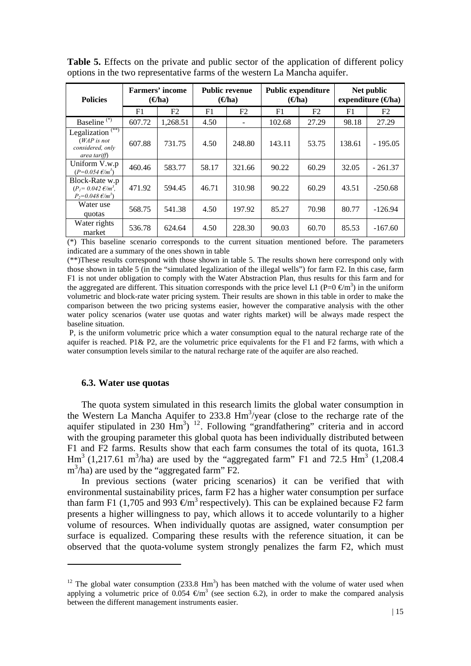| <b>Policies</b>                                                                            | <b>Farmers' income</b><br>$\left( \Theta$ ha) |          | <b>Public revenue</b><br>$(\Theta$ ha) |        | <b>Public expenditure</b><br>$\Theta$ ha |       | Net public<br>expenditure $(\Theta$ ha) |                |
|--------------------------------------------------------------------------------------------|-----------------------------------------------|----------|----------------------------------------|--------|------------------------------------------|-------|-----------------------------------------|----------------|
|                                                                                            | F1                                            | F2       | F1                                     | F2     | F1                                       | F2    | F1                                      | F <sub>2</sub> |
| Baseline <sup>(*)</sup>                                                                    | 607.72                                        | 1,268.51 | 4.50                                   |        | 102.68                                   | 27.29 | 98.18                                   | 27.29          |
| Legalization <sup>(**)</sup><br>$(WAP \text{ is not})$<br>considered, only<br>area tariff) | 607.88                                        | 731.75   | 4.50                                   | 248.80 | 143.11                                   | 53.75 | 138.61                                  | $-195.05$      |
| Uniform V.w.p<br>$(P=0.054 \text{ }\epsilon/m^3)$                                          | 460.46                                        | 583.77   | 58.17                                  | 321.66 | 90.22                                    | 60.29 | 32.05                                   | $-261.37$      |
| Block-Rate w.p<br>$(P_1 = 0.042 \text{ E/m}^3)$ .<br>$P_2 = 0.048 \text{ E/m}^3$           | 471.92                                        | 594.45   | 46.71                                  | 310.98 | 90.22                                    | 60.29 | 43.51                                   | $-250.68$      |
| Water use<br>quotas                                                                        | 568.75                                        | 541.38   | 4.50                                   | 197.92 | 85.27                                    | 70.98 | 80.77                                   | $-126.94$      |
| Water rights<br>market                                                                     | 536.78                                        | 624.64   | 4.50                                   | 228.30 | 90.03                                    | 60.70 | 85.53                                   | $-167.60$      |

**Table 5.** Effects on the private and public sector of the application of different policy options in the two representative farms of the western La Mancha aquifer.

(\*) This baseline scenario corresponds to the current situation mentioned before. The parameters indicated are a summary of the ones shown in table

(\*\*)These results correspond with those shown in table 5. The results shown here correspond only with those shown in table 5 (in the "simulated legalization of the illegal wells") for farm F2. In this case, farm F1 is not under obligation to comply with the Water Abstraction Plan, thus results for this farm and for the aggregated are different. This situation corresponds with the price level L1 (P=0  $\epsilon$ m<sup>3</sup>) in the uniform volumetric and block-rate water pricing system. Their results are shown in this table in order to make the comparison between the two pricing systems easier, however the comparative analysis with the other water policy scenarios (water use quotas and water rights market) will be always made respect the baseline situation.

 P, is the uniform volumetric price which a water consumption equal to the natural recharge rate of the aquifer is reached. P1& P2, are the volumetric price equivalents for the F1 and F2 farms, with which a water consumption levels similar to the natural recharge rate of the aquifer are also reached.

#### **6.3. Water use quotas**

1

The quota system simulated in this research limits the global water consumption in the Western La Mancha Aquifer to 233.8 Hm<sup>3</sup>/year (close to the recharge rate of the aquifer stipulated in 230  $\text{Hm}^3$ ) <sup>[12](#page-14-0)</sup>. Following "grandfathering" criteria and in accord with the grouping parameter this global quota has been individually distributed between F1 and F2 farms. Results show that each farm consumes the total of its quota, 161.3  $\text{Hm}^3$  (1,217.61 m<sup>3</sup>/ha) are used by the "aggregated farm" F1 and 72.5  $\text{Hm}^3$  (1,208.4) m3 /ha) are used by the "aggregated farm" F2.

In previous sections (water pricing scenarios) it can be verified that with environmental sustainability prices, farm F2 has a higher water consumption per surface than farm F1 (1,705 and 993  $\epsilon$ m<sup>3</sup> respectively). This can be explained because F2 farm presents a higher willingness to pay, which allows it to accede voluntarily to a higher volume of resources. When individually quotas are assigned, water consumption per surface is equalized. Comparing these results with the reference situation, it can be observed that the quota-volume system strongly penalizes the farm F2, which must

<span id="page-14-0"></span><sup>&</sup>lt;sup>12</sup> The global water consumption  $(233.8 \text{ Hm}^3)$  has been matched with the volume of water used when applying a volumetric price of 0.054  $\epsilon$ m<sup>3</sup> (see section 6.2), in order to make the compared analysis between the different management instruments easier.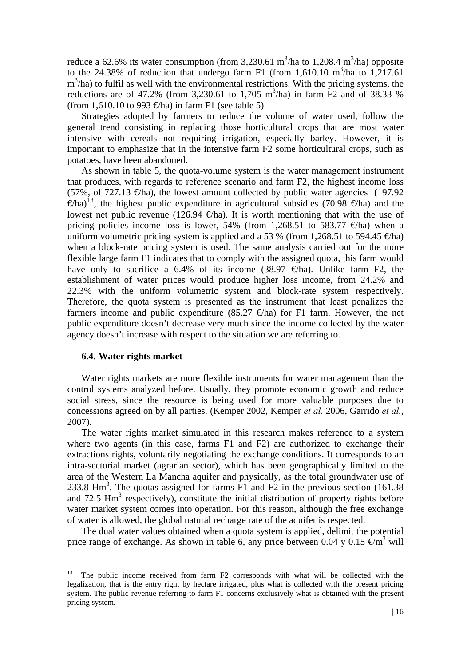reduce a 62.6% its water consumption (from 3,230.61 m<sup>3</sup>/ha to 1,208.4 m<sup>3</sup>/ha) opposite to the 24.38% of reduction that undergo farm F1 (from 1,610.10 m<sup>3</sup>/ha to 1,217.61)  $m<sup>3</sup>/ha$ ) to fulfil as well with the environmental restrictions. With the pricing systems, the reductions are of 47.2% (from 3,230.61 to 1,705 m<sup>3</sup>/ha) in farm  $\overline{F2}$  and of 38.33 % (from 1,610.10 to 993  $\oplus$ ha) in farm F1 (see table 5)

Strategies adopted by farmers to reduce the volume of water used, follow the general trend consisting in replacing those horticultural crops that are most water intensive with cereals not requiring irrigation, especially barley. However, it is important to emphasize that in the intensive farm F2 some horticultural crops, such as potatoes, have been abandoned.

As shown in table 5, the quota-volume system is the water management instrument that produces, with regards to reference scenario and farm F2, the highest income loss (57%, of 727.13  $\epsilon$ ha), the lowest amount collected by public water agencies (197.92)  $(\epsilon h a)^{13}$  $(\epsilon h a)^{13}$  $(\epsilon h a)^{13}$ , the highest public expenditure in agricultural subsidies (70.98  $\epsilon h a$ ) and the lowest net public revenue (126.94  $\oplus$ ha). It is worth mentioning that with the use of pricing policies income loss is lower, 54% (from 1,268.51 to 583.77  $\oplus$ ha) when a uniform volumetric pricing system is applied and a 53 % (from 1,268.51 to 594.45  $\oplus$ ha) when a block-rate pricing system is used. The same analysis carried out for the more flexible large farm F1 indicates that to comply with the assigned quota, this farm would have only to sacrifice a 6.4% of its income (38.97  $\oplus$ ha). Unlike farm F2, the establishment of water prices would produce higher loss income, from 24.2% and 22.3% with the uniform volumetric system and block-rate system respectively. Therefore, the quota system is presented as the instrument that least penalizes the farmers income and public expenditure (85.27  $\in$ ha) for F1 farm. However, the net public expenditure doesn't decrease very much since the income collected by the water agency doesn't increase with respect to the situation we are referring to.

#### **6.4. Water rights market**

1

 Water rights markets are more flexible instruments for water management than the control systems analyzed before. Usually, they promote economic growth and reduce social stress, since the resource is being used for more valuable purposes due to concessions agreed on by all parties. (Kemper 2002, Kemper *et al.* 2006, Garrido *et al.*, 2007).

 The water rights market simulated in this research makes reference to a system where two agents (in this case, farms F1 and F2) are authorized to exchange their extractions rights, voluntarily negotiating the exchange conditions. It corresponds to an intra-sectorial market (agrarian sector), which has been geographically limited to the area of the Western La Mancha aquifer and physically, as the total groundwater use of 233.8  $\text{Hm}^3$ . The quotas assigned for farms  $\overline{F1}$  and  $\overline{F2}$  in the previous section (161.38) and  $72.5$  Hm<sup>3</sup> respectively), constitute the initial distribution of property rights before water market system comes into operation. For this reason, although the free exchange of water is allowed, the global natural recharge rate of the aquifer is respected.

The dual water values obtained when a quota system is applied, delimit the potential price range of exchange. As shown in table 6, any price between 0.04 y 0.15  $\epsilon \text{m}^3$  will

<span id="page-15-0"></span><sup>&</sup>lt;sup>13</sup> The public income received from farm F2 corresponds with what will be collected with the legalization, that is the entry right by hectare irrigated, plus what is collected with the present pricing system. The public revenue referring to farm F1 concerns exclusively what is obtained with the present pricing system.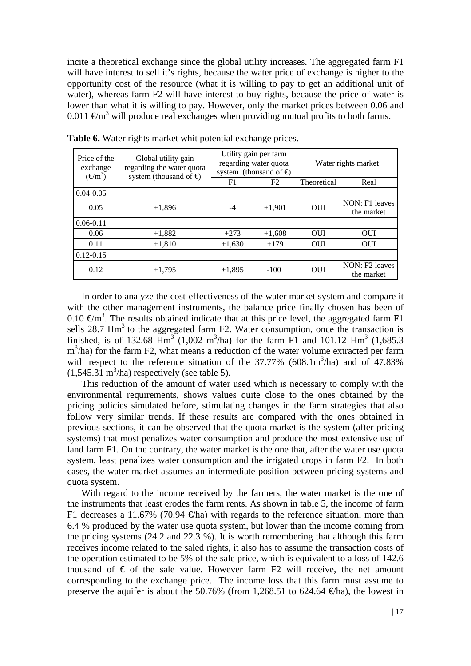incite a theoretical exchange since the global utility increases. The aggregated farm F1 will have interest to sell it's rights, because the water price of exchange is higher to the opportunity cost of the resource (what it is willing to pay to get an additional unit of water), whereas farm F2 will have interest to buy rights, because the price of water is lower than what it is willing to pay. However, only the market prices between 0.06 and 0.011  $\epsilon$ m<sup>3</sup> will produce real exchanges when providing mutual profits to both farms.

| Price of the<br>exchange<br>$(\boldsymbol{\in} \mathbf{m}^3)$ | Global utility gain<br>regarding the water quota<br>system (thousand of $\bigoplus$ |          | Utility gain per farm<br>regarding water quota<br>system (thousand of $\bigoplus$ | Water rights market |                              |  |
|---------------------------------------------------------------|-------------------------------------------------------------------------------------|----------|-----------------------------------------------------------------------------------|---------------------|------------------------------|--|
|                                                               |                                                                                     | F1       | F <sub>2</sub>                                                                    | Theoretical         | Real                         |  |
| $0.04 - 0.05$                                                 |                                                                                     |          |                                                                                   |                     |                              |  |
| 0.05                                                          | $+1,896$                                                                            | $-4$     | $+1,901$                                                                          | <b>OUI</b>          | NON: F1 leaves<br>the market |  |
| $0.06 - 0.11$                                                 |                                                                                     |          |                                                                                   |                     |                              |  |
| 0.06                                                          | $+1,882$                                                                            | $+273$   | $+1,608$                                                                          | <b>OUI</b>          | <b>OUI</b>                   |  |
| 0.11                                                          | $+1,810$                                                                            | $+1,630$ | $+179$                                                                            | <b>OUI</b>          | <b>OUI</b>                   |  |
| $0.12 - 0.15$                                                 |                                                                                     |          |                                                                                   |                     |                              |  |
| 0.12                                                          | $+1,795$                                                                            | $+1,895$ | $-100$                                                                            | <b>OUI</b>          | NON: F2 leaves<br>the market |  |

**Table 6.** Water rights market whit potential exchange prices.

In order to analyze the cost-effectiveness of the water market system and compare it with the other management instruments, the balance price finally chosen has been of 0.10  $\text{Em}^3$ . The results obtained indicate that at this price level, the aggregated farm F1 sells  $28.7 \text{ Hm}^3$  to the aggregated farm F2. Water consumption, once the transaction is finished, is of 132.68  $\text{Hm}^3$  (1,002 m<sup>3</sup>/ha) for the farm F1 and 101.12 Hm<sup>3</sup> (1,685.3)  $m<sup>3</sup>/ha$ ) for the farm F2, what means a reduction of the water volume extracted per farm with respect to the reference situation of the  $37.77\%$  (608.1m<sup>3</sup>/ha) and of 47.83%  $(1,545.31 \text{ m}^3/\text{ha})$  respectively (see table 5).

This reduction of the amount of water used which is necessary to comply with the environmental requirements, shows values quite close to the ones obtained by the pricing policies simulated before, stimulating changes in the farm strategies that also follow very similar trends. If these results are compared with the ones obtained in previous sections, it can be observed that the quota market is the system (after pricing systems) that most penalizes water consumption and produce the most extensive use of land farm F1. On the contrary, the water market is the one that, after the water use quota system, least penalizes water consumption and the irrigated crops in farm F2. In both cases, the water market assumes an intermediate position between pricing systems and quota system.

With regard to the income received by the farmers, the water market is the one of the instruments that least erodes the farm rents. As shown in table 5, the income of farm F1 decreases a 11.67% (70.94  $\oplus$ ha) with regards to the reference situation, more than 6.4 % produced by the water use quota system, but lower than the income coming from the pricing systems (24.2 and 22.3 %). It is worth remembering that although this farm receives income related to the saled rights, it also has to assume the transaction costs of the operation estimated to be 5% of the sale price, which is equivalent to a loss of 142.6 thousand of  $\epsilon$  of the sale value. However farm F2 will receive, the net amount corresponding to the exchange price. The income loss that this farm must assume to preserve the aquifer is about the 50.76% (from 1,268.51 to 624.64  $\in$ ha), the lowest in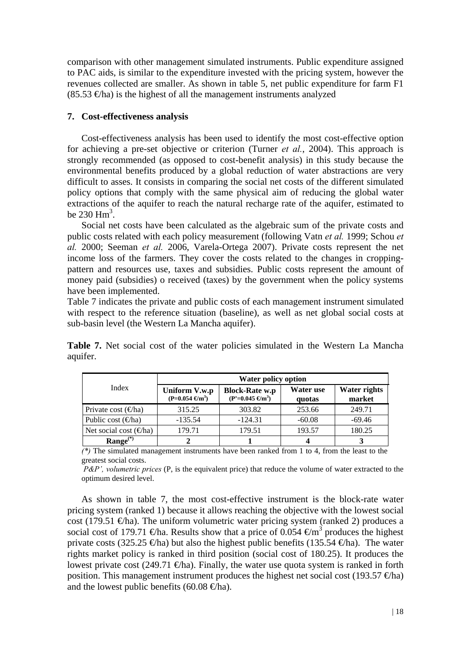comparison with other management simulated instruments. Public expenditure assigned to PAC aids, is similar to the expenditure invested with the pricing system, however the revenues collected are smaller. As shown in table 5, net public expenditure for farm F1  $(85.53 \text{ } \text{€}$ ha) is the highest of all the management instruments analyzed

## **7. Cost-effectiveness analysis**

 Cost-effectiveness analysis has been used to identify the most cost-effective option for achieving a pre-set objective or criterion (Turner *et al.*, 2004). This approach is strongly recommended (as opposed to cost-benefit analysis) in this study because the environmental benefits produced by a global reduction of water abstractions are very difficult to asses. It consists in comparing the social net costs of the different simulated policy options that comply with the same physical aim of reducing the global water extractions of the aquifer to reach the natural recharge rate of the aquifer, estimated to be  $230 \text{ Hm}^3$ .

 Social net costs have been calculated as the algebraic sum of the private costs and public costs related with each policy measurement (following Vatn *et al.* 1999; Schou *et al.* 2000; Seeman *et al.* 2006, Varela-Ortega 2007). Private costs represent the net income loss of the farmers. They cover the costs related to the changes in croppingpattern and resources use, taxes and subsidies. Public costs represent the amount of money paid (subsidies) o received (taxes) by the government when the policy systems have been implemented.

Table 7 indicates the private and public costs of each management instrument simulated with respect to the reference situation (baseline), as well as net global social costs at sub-basin level (the Western La Mancha aquifer).

|                               | Water policy option                            |                                                            |                     |                               |  |  |  |
|-------------------------------|------------------------------------------------|------------------------------------------------------------|---------------------|-------------------------------|--|--|--|
| Index                         | Uniform V.w.p<br>$(P=0.054 \text{ } \infty^3)$ | <b>Block-Rate w.p</b><br>$(P'=0.045 \text{ } \text{Gm}^3)$ | Water use<br>quotas | <b>Water rights</b><br>market |  |  |  |
| Private cost $(\Theta$ ha)    | 315.25                                         | 303.82                                                     | 253.66              | 249.71                        |  |  |  |
| Public cost $(\epsilon)$ ha)  | $-135.54$                                      | $-124.31$                                                  | $-60.08$            | $-69.46$                      |  |  |  |
| Net social cost $(\oplus$ ha) | 179.71                                         | 179.51                                                     | 193.57              | 180.25                        |  |  |  |
| $Range^{(*)}$                 |                                                |                                                            |                     |                               |  |  |  |

**Table 7.** Net social cost of the water policies simulated in the Western La Mancha aquifer.

*(\*)* The simulated management instruments have been ranked from 1 to 4, from the least to the greatest social costs.

 *P&P', volumetric prices* (P, is the equivalent price) that reduce the volume of water extracted to the optimum desired level.

As shown in table 7, the most cost-effective instrument is the block-rate water pricing system (ranked 1) because it allows reaching the objective with the lowest social cost (179.51  $\in$ ha). The uniform volumetric water pricing system (ranked 2) produces a social cost of 179.71  $\oplus$ ha. Results show that a price of 0.054  $\oplus$ m<sup>3</sup> produces the highest private costs (325.25  $\oplus$ ha) but also the highest public benefits (135.54  $\oplus$ ha). The water rights market policy is ranked in third position (social cost of 180.25). It produces the lowest private cost (249.71  $\oplus$ ha). Finally, the water use quota system is ranked in forth position. This management instrument produces the highest net social cost (193.57  $\oplus$ ha) and the lowest public benefits (60.08  $\bigoplus$ ha).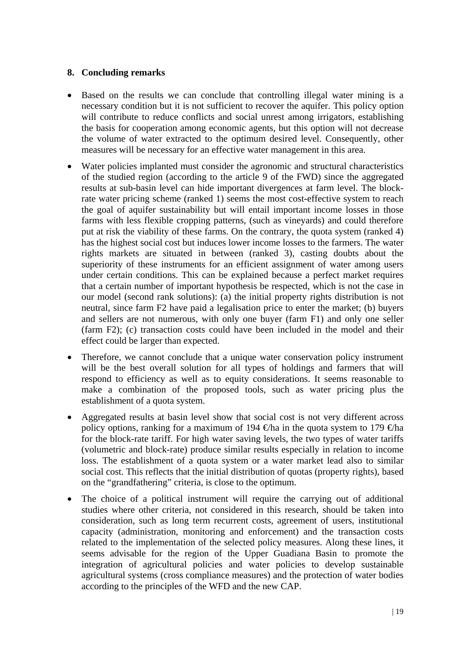## **8. Concluding remarks**

- Based on the results we can conclude that controlling illegal water mining is a necessary condition but it is not sufficient to recover the aquifer. This policy option will contribute to reduce conflicts and social unrest among irrigators, establishing the basis for cooperation among economic agents, but this option will not decrease the volume of water extracted to the optimum desired level. Consequently, other measures will be necessary for an effective water management in this area.
- Water policies implanted must consider the agronomic and structural characteristics of the studied region (according to the article 9 of the FWD) since the aggregated results at sub-basin level can hide important divergences at farm level. The blockrate water pricing scheme (ranked 1) seems the most cost-effective system to reach the goal of aquifer sustainability but will entail important income losses in those farms with less flexible cropping patterns, (such as vineyards) and could therefore put at risk the viability of these farms. On the contrary, the quota system (ranked 4) has the highest social cost but induces lower income losses to the farmers. The water rights markets are situated in between (ranked 3), casting doubts about the superiority of these instruments for an efficient assignment of water among users under certain conditions. This can be explained because a perfect market requires that a certain number of important hypothesis be respected, which is not the case in our model (second rank solutions): (a) the initial property rights distribution is not neutral, since farm F2 have paid a legalisation price to enter the market; (b) buyers and sellers are not numerous, with only one buyer (farm F1) and only one seller (farm F2); (c) transaction costs could have been included in the model and their effect could be larger than expected.
- Therefore, we cannot conclude that a unique water conservation policy instrument will be the best overall solution for all types of holdings and farmers that will respond to efficiency as well as to equity considerations. It seems reasonable to make a combination of the proposed tools, such as water pricing plus the establishment of a quota system.
- Aggregated results at basin level show that social cost is not very different across policy options, ranking for a maximum of 194  $\oplus$ ha in the quota system to 179  $\oplus$ ha for the block-rate tariff. For high water saving levels, the two types of water tariffs (volumetric and block-rate) produce similar results especially in relation to income loss. The establishment of a quota system or a water market lead also to similar social cost. This reflects that the initial distribution of quotas (property rights), based on the "grandfathering" criteria, is close to the optimum.
- The choice of a political instrument will require the carrying out of additional studies where other criteria, not considered in this research, should be taken into consideration, such as long term recurrent costs, agreement of users, institutional capacity (administration, monitoring and enforcement) and the transaction costs related to the implementation of the selected policy measures. Along these lines, it seems advisable for the region of the Upper Guadiana Basin to promote the integration of agricultural policies and water policies to develop sustainable agricultural systems (cross compliance measures) and the protection of water bodies according to the principles of the WFD and the new CAP.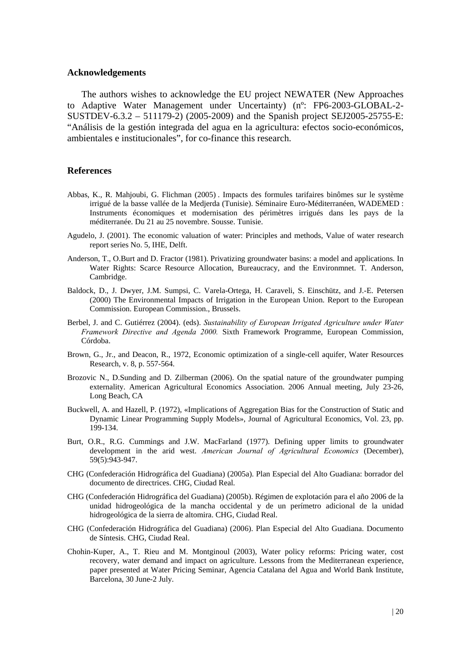#### **Acknowledgements**

The authors wishes to acknowledge the EU project NEWATER (New Approaches to Adaptive Water Management under Uncertainty) (nº: FP6-2003-GLOBAL-2- SUSTDEV-6.3.2 – 511179-2) (2005-2009) and the Spanish project SEJ2005-25755-E: "Análisis de la gestión integrada del agua en la agricultura: efectos socio-económicos, ambientales e institucionales", for co-finance this research.

#### **References**

- Abbas, K., R. Mahjoubi, G. Flichman (2005) . Impacts des formules tarifaires binômes sur le système irrigué de la basse vallée de la Medjerda (Tunisie). Séminaire Euro-Méditerranéen, WADEMED : Instruments économiques et modernisation des périmètres irrigués dans les pays de la méditerranée. Du 21 au 25 novembre. Sousse. Tunisie.
- Agudelo, J. (2001). The economic valuation of water: Principles and methods, Value of water research report series No. 5, IHE, Delft.
- Anderson, T., O.Burt and D. Fractor (1981). Privatizing groundwater basins: a model and applications. In Water Rights: Scarce Resource Allocation, Bureaucracy, and the Environmnet. T. Anderson, Cambridge.
- Baldock, D., J. Dwyer, J.M. Sumpsi, C. Varela-Ortega, H. Caraveli, S. Einschütz, and J.-E. Petersen (2000) The Environmental Impacts of Irrigation in the European Union. Report to the European Commission. European Commission., Brussels.
- Berbel, J. and C. Gutiérrez (2004). (eds). *Sustainability of European Irrigated Agriculture under Water Framework Directive and Agenda 2000.* Sixth Framework Programme, European Commission, Córdoba.
- Brown, G., Jr., and Deacon, R., 1972, Economic optimization of a single-cell aquifer, Water Resources Research, v. 8, p. 557-564.
- Brozovic N., D.Sunding and D. Zilberman (2006). On the spatial nature of the groundwater pumping externality. American Agricultural Economics Association. 2006 Annual meeting, July 23-26, Long Beach, CA
- Buckwell, A. and Hazell, P. (1972), «Implications of Aggregation Bias for the Construction of Static and Dynamic Linear Programming Supply Models», Journal of Agricultural Economics, Vol. 23, pp. 199-134.
- Burt, O.R., R.G. Cummings and J.W. MacFarland (1977). Defining upper limits to groundwater development in the arid west. *American Journal of Agricultural Economics* (December), 59(5):943-947.
- CHG (Confederación Hidrográfica del Guadiana) (2005a). Plan Especial del Alto Guadiana: borrador del documento de directrices. CHG, Ciudad Real.
- CHG (Confederación Hidrográfica del Guadiana) (2005b). Régimen de explotación para el año 2006 de la unidad hidrogeológica de la mancha occidental y de un perímetro adicional de la unidad hidrogeológica de la sierra de altomira. CHG, Ciudad Real.
- CHG (Confederación Hidrográfica del Guadiana) (2006). Plan Especial del Alto Guadiana. Documento de Síntesis. CHG, Ciudad Real.
- Chohin-Kuper, A., T. Rieu and M. Montginoul (2003), Water policy reforms: Pricing water, cost recovery, water demand and impact on agriculture. Lessons from the Mediterranean experience, paper presented at Water Pricing Seminar, Agencia Catalana del Agua and World Bank Institute, Barcelona, 30 June-2 July.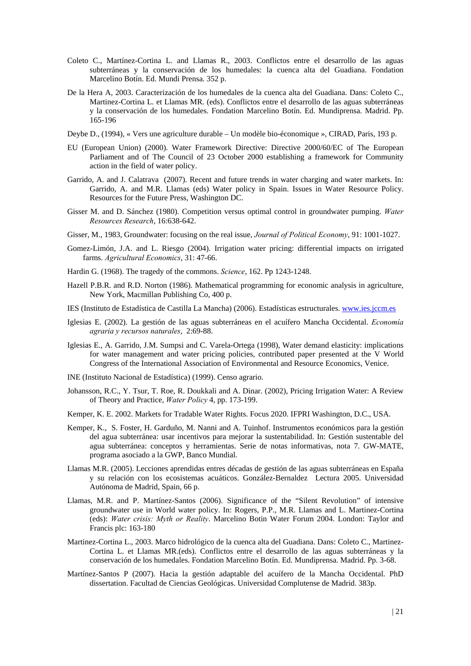- Coleto C., Martínez-Cortina L. and Llamas R., 2003. Conflictos entre el desarrollo de las aguas subterráneas y la conservación de los humedales: la cuenca alta del Guadiana. Fondation Marcelino Botín. Ed. Mundi Prensa. 352 p.
- De la Hera A, 2003. Caracterización de los humedales de la cuenca alta del Guadiana. Dans: Coleto C., Martinez-Cortina L. et Llamas MR. (eds). Conflictos entre el desarrollo de las aguas subterráneas y la conservación de los humedales. Fondation Marcelino Botín. Ed. Mundiprensa. Madrid. Pp. 165-196
- Deybe D., (1994), « Vers une agriculture durable Un modèle bio-économique », CIRAD, Paris, 193 p.
- EU (European Union) (2000). Water Framework Directive: Directive 2000/60/EC of The European Parliament and of The Council of 23 October 2000 establishing a framework for Community action in the field of water policy.
- Garrido, A. and J. Calatrava (2007). Recent and future trends in water charging and water markets. In: Garrido, A. and M.R. Llamas (eds) Water policy in Spain. Issues in Water Resource Policy. Resources for the Future Press, Washington DC.
- Gisser M. and D. Sánchez (1980). Competition versus optimal control in groundwater pumping. *Water Resources Research*, 16:638-642.
- Gisser, M., 1983, Groundwater: focusing on the real issue, *Journal of Political Economy*, 91: 1001-1027.
- Gomez-Limón, J.A. and L. Riesgo (2004). Irrigation water pricing: differential impacts on irrigated farms. *Agricultural Economics*, 31: 47-66.
- Hardin G. (1968). The tragedy of the commons. *Science*, 162. Pp 1243-1248.
- Hazell P.B.R. and R.D. Norton (1986). Mathematical programming for economic analysis in agriculture, New York, Macmillan Publishing Co, 400 p.
- IES (Instituto de Estadística de Castilla La Mancha) (2006). Estadísticas estructurales. [www.ies.jccm.es](http://www.ies.jccm.es/)
- Iglesias E. (2002). La gestión de las aguas subterráneas en el acuífero Mancha Occidental. *Economía agraria y recursos naturales*, 2:69-88.
- Iglesias E., A. Garrido, J.M. Sumpsi and C. Varela-Ortega (1998), Water demand elasticity: implications for water management and water pricing policies, contributed paper presented at the V World Congress of the International Association of Environmental and Resource Economics, Venice.
- INE (Instituto Nacional de Estadística) (1999). Censo agrario.
- Johansson, R.C., Y. Tsur, T. Roe, R. Doukkali and A. Dinar. (2002), Pricing Irrigation Water: A Review of Theory and Practice, *Water Policy* 4, pp. 173-199.
- Kemper, K. E. 2002. Markets for Tradable Water Rights. Focus 2020. IFPRI Washington, D.C., USA.
- Kemper, K., S. Foster, H. Garduño, M. Nanni and A. Tuinhof. Instrumentos económicos para la gestión del agua subterránea: usar incentivos para mejorar la sustentabilidad. In: Gestión sustentable del agua subterránea: conceptos y herramientas. Serie de notas informativas, nota 7. GW-MATE, programa asociado a la GWP, Banco Mundial.
- Llamas M.R. (2005). Lecciones aprendidas entres décadas de gestión de las aguas subterráneas en España y su relación con los ecosistemas acuáticos. González-Bernaldez Lectura 2005. Universidad Autónoma de Madrid, Spain, 66 p.
- Llamas, M.R. and P. Martínez-Santos (2006). Significance of the "Silent Revolution" of intensive groundwater use in World water policy. In: Rogers, P.P., M.R. Llamas and L. Martinez-Cortina (eds): *Water crisis: Myth or Reality*. Marcelino Botin Water Forum 2004. London: Taylor and Francis plc: 163-180
- Martinez-Cortina L., 2003. Marco hidrológico de la cuenca alta del Guadiana. Dans: Coleto C., Martinez-Cortina L. et Llamas MR.(eds). Conflictos entre el desarrollo de las aguas subterráneas y la conservación de los humedales. Fondation Marcelino Botín. Ed. Mundiprensa. Madrid. Pp. 3-68.
- Martínez-Santos P (2007). Hacia la gestión adaptable del acuífero de la Mancha Occidental. PhD dissertation. Facultad de Ciencias Geológicas. Universidad Complutense de Madrid. 383p.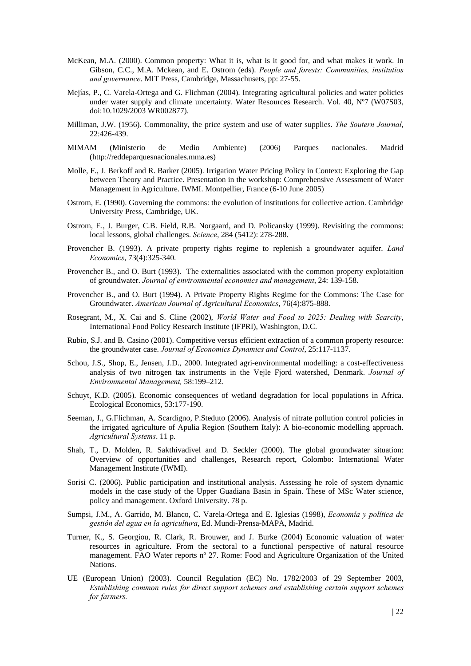- McKean, M.A. (2000). Common property: What it is, what is it good for, and what makes it work. In Gibson, C.C., M.A. Mckean, and E. Ostrom (eds). *People and forests: Communiites, institutios and governance*. MIT Press, Cambridge, Massachusets, pp: 27-55.
- Mejías, P., C. Varela-Ortega and G. Flichman (2004). Integrating agricultural policies and water policies under water supply and climate uncertainty. Water Resources Research. Vol. 40, N°7 (W07S03, doi:10.1029/2003 WR002877).
- Milliman, J.W. (1956). Commonality, the price system and use of water supplies. *The Soutern Journal*, 22:426-439.
- MIMAM (Ministerio de Medio Ambiente) (2006) Parques nacionales. Madrid ([http://reddeparquesnacionales.mma.es](http://reddeparquesnacionales.mma.es/))
- Molle, F., J. Berkoff and R. Barker (2005). Irrigation Water Pricing Policy in Context: Exploring the Gap between Theory and Practice. Presentation in the workshop: Comprehensive Assessment of Water Management in Agriculture. IWMI. Montpellier, France (6-10 June 2005)
- Ostrom, E. (1990). Governing the commons: the evolution of institutions for collective action. Cambridge University Press, Cambridge, UK.
- Ostrom, E., J. Burger, C.B. Field, R.B. Norgaard, and D. Policansky (1999). Revisiting the commons: local lessons, global challenges. *Science*, 284 (5412): 278-288.
- Provencher B. (1993). A private property rights regime to replenish a groundwater aquifer. *Land Economics*, 73(4):325-340.
- Provencher B., and O. Burt (1993). The externalities associated with the common property explotaition of groundwater. *Journal of environmental economics and management*, 24: 139-158.
- Provencher B., and O. Burt (1994). A Private Property Rights Regime for the Commons: The Case for Groundwater. *American Journal of Agricultural Economics*, 76(4):875-888.
- Rosegrant, M., X. Cai and S. Cline (2002), *World Water and Food to 2025: Dealing with Scarcity*, International Food Policy Research Institute (IFPRI), Washington, D.C.
- Rubio, S.J. and B. Casino (2001). Competitive versus efficient extraction of a common property resource: the groundwater case. *Journal of Economics Dynamics and Control*, 25:117-1137.
- Schou, J.S., Shop, E., Jensen, J.D., 2000. Integrated agri-environmental modelling: a cost-effectiveness analysis of two nitrogen tax instruments in the Vejle Fjord watershed, Denmark. *Journal of Environmental Management,* 58:199–212.
- Schuyt, K.D. (2005). Economic consequences of wetland degradation for local populations in Africa. Ecological Economics, 53:177-190.
- Seeman, J., G.Flichman, A. Scardigno, P.Steduto (2006). Analysis of nitrate pollution control policies in the irrigated agriculture of Apulia Region (Southern Italy): A bio-economic modelling approach. *Agricultural Systems*. 11 p.
- Shah, T., D. Molden, R. Sakthivadivel and D. Seckler (2000). The global groundwater situation: Overview of opportunities and challenges, Research report, Colombo: International Water Management Institute (IWMI).
- Sorisi C. (2006). Public participation and institutional analysis. Assessing he role of system dynamic models in the case study of the Upper Guadiana Basin in Spain. These of MSc Water science, policy and management. Oxford University. 78 p.
- Sumpsi, J.M., A. Garrido, M. Blanco, C. Varela-Ortega and E. Iglesias (1998), *Economía y política de gestión del agua en la agricultura*, Ed. Mundi-Prensa-MAPA, Madrid.
- Turner, K., S. Georgiou, R. Clark, R. Brouwer, and J. Burke (2004) Economic valuation of water resources in agriculture. From the sectoral to a functional perspective of natural resource management. FAO Water reports nº 27. Rome: Food and Agriculture Organization of the United Nations.
- UE (European Union) (2003). Council Regulation (EC) No. 1782/2003 of 29 September 2003, *Establishing common rules for direct support schemes and establishing certain support schemes for farmers.*